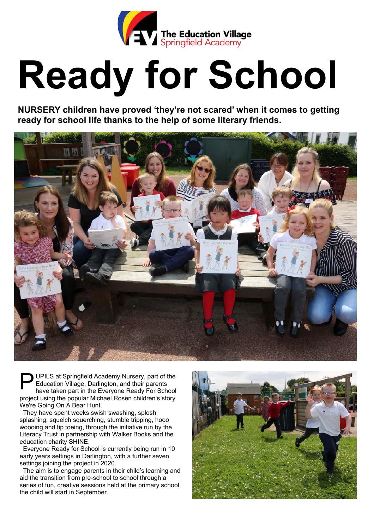

## **Ready for School**

**NURSERY children have proved 'they're not scared' when it comes to getting ready for school life thanks to the help of some literary friends.** 



UPILS at Springfield Academy Nursery, part of the Education Village, Darlington, and their parents have taken part in the Everyone Ready For School project using the popular Michael Rosen children's story We're Going On A Bear Hunt.  $\mathsf{P}^\text{u}_\text{\tiny{E}}$ 

 They have spent weeks swish swashing, splosh splashing, squelch squerching, stumble tripping, hooo woooing and tip toeing, through the initiative run by the Literacy Trust in partnership with Walker Books and the education charity SHINE.

 Everyone Ready for School is currently being run in 10 early years settings in Darlington, with a further seven settings joining the project in 2020.

 The aim is to engage parents in their child's learning and aid the transition from pre-school to school through a series of fun, creative sessions held at the primary school the child will start in September.